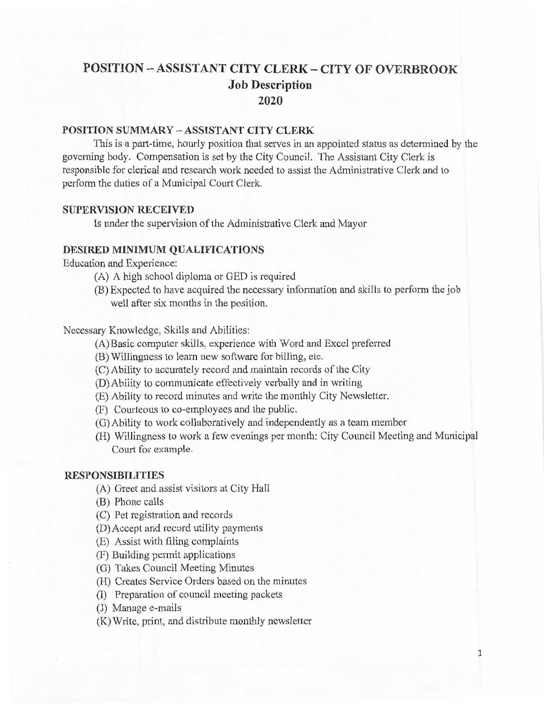# **POSITION -ASSISTANT CITY CLERK- CITY OF OVERBROOK Job Description 2020**

#### **POSITION SUMMARY -ASSISTANT CITY CLERK**

This is a part-time, hourly position that serves in an appointed status as determined by the governing body. Compensation is set by the City Council. The Assistant City Clerk is responsible for clerical and research work needed to assist the Administrative Clerk and to perform the duties of a Municipal Court Clerk.

#### **SUPERVISION RECEIVED**

Is under the supervision of the Administrative Clerk and Mayor

### **DESIRED MINIMUM QUALIFICATIONS**

Education and Experience:

- (A) A high school diploma or GED is required
- (B) Expected to have acquired the necessary information and skills to perform the job well after six months in the position.

#### Necessary Knowledge, Skills and Abilities:

- (A)Basic computer skills, experience with Word and Excel preferred
- (B) Willingness to learn new software for billing, etc.
- (C) Ability to accurately record and maintain records of the City
- (D)Ability to communicate effectively verbally and in writing
- (E) Ability to record minutes and write the monthly City Newsletter.
- (F) Courteous to co-employees and the public.
- (G) Ability to work collaboratively and independently as a team member
- (H) Willingness to work a few evenings per month: City Council Meeting and Municipal Court for example.

#### **RESPONSIBILITIES**

- (A) Greet and assist visitors at City Hall
- (B) Phone calls
- (C) Pet registration and records
- (D) Accept and record utility payments
- (E) Assist with filing complaints
- (F) Building permit applications
- (G) Takes Council Meeting Minutes
- (H) Creates Service Orders based on the minutes
- (I) Preparation of council meeting packets
- (J) Manage e-mails
- (K) Write, print, and distribute monthly newsletter